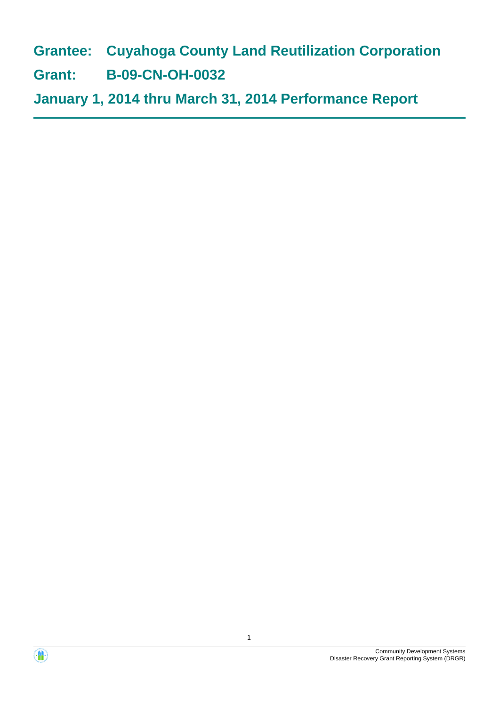**Grantee: Cuyahoga County Land Reutilization Corporation**

**Grant: B-09-CN-OH-0032**

**January 1, 2014 thru March 31, 2014 Performance Report**



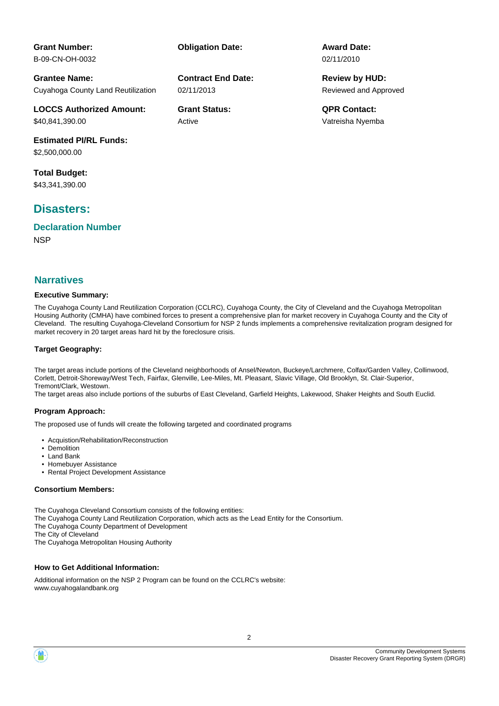**Contract End Date:**

02/11/2013

Active

**Grantee Name:** Cuyahoga County Land Reutilization

**LOCCS Authorized Amount:** \$40,841,390.00

**Estimated PI/RL Funds:** \$2,500,000.00

**Total Budget:** \$43,341,390.00

**Grant Number:** B-09-CN-OH-0032

# **Disasters:**

**NSP Declaration Number**

#### **Executive Summary:**

The Cuyahoga County Land Reutilization Corporation (CCLRC), Cuyahoga County, the City of Cleveland and the Cuyahoga Metropolitan Housing Authority (CMHA) have combined forces to present a comprehensive plan for market recovery in Cuyahoga County and the City of Cleveland. The resulting Cuyahoga-Cleveland Consortium for NSP 2 funds implements a comprehensive revitalization program designed for market recovery in 20 target areas hard hit by the foreclosure crisis.

#### **Target Geography:**

The target areas include portions of the Cleveland neighborhoods of Ansel/Newton, Buckeye/Larchmere, Colfax/Garden Valley, Collinwood, Corlett, Detroit-Shoreway/West Tech, Fairfax, Glenville, Lee-Miles, Mt. Pleasant, Slavic Village, Old Brooklyn, St. Clair-Superior, Tremont/Clark, Westown.

The target areas also include portions of the suburbs of East Cleveland, Garfield Heights, Lakewood, Shaker Heights and South Euclid.

#### **Program Approach:**

The proposed use of funds will create the following targeted and coordinated programs

- Acquistion/Rehabilitation/Reconstruction
- Demolition
- Land Bank • Homebuyer Assistance
- **iect Development Assistance**

#### **Consortium Members:**

The Cuyahoga Cleveland Consortium consists of the following entities:

The Cuyahoga County Land Reutilization Corporation, which acts as the Lead Entity for the Consortium.

The Cuyahoga County Department of Development

The City of Cleveland

The Cuyahoga Metropolitan Housing Authority

#### **How to Get Additional Information:**

Additional information on the NSP 2 Program can be found on the CCLRC's website: www.cuyahogalandbank.org

| . .       | <b>HOTTLEDUVE</b> |  |
|-----------|-------------------|--|
| $\bullet$ | <b>Rental Pro</b> |  |
|           |                   |  |

**Obligation Date: Award Date:** 02/11/2010

> Reviewed and Approved **Review by HUD:**

**Grant Status: QPR Contact:** Vatreisha Nyemba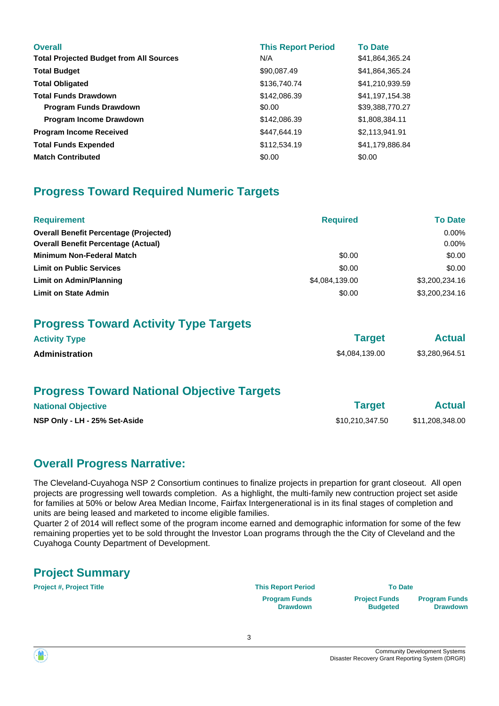| <b>Overall</b><br><b>Total Projected Budget from All Sources</b> | <b>This Report Period</b><br>N/A | <b>To Date</b><br>\$41,864,365.24 |
|------------------------------------------------------------------|----------------------------------|-----------------------------------|
| <b>Total Budget</b>                                              | \$90,087.49                      | \$41,864,365.24                   |
| <b>Total Obligated</b>                                           | \$136,740.74                     | \$41,210,939.59                   |
| <b>Total Funds Drawdown</b>                                      | \$142,086.39                     | \$41,197,154.38                   |
| <b>Program Funds Drawdown</b>                                    | \$0.00                           | \$39,388,770.27                   |
| <b>Program Income Drawdown</b>                                   | \$142,086.39                     | \$1,808,384.11                    |
| <b>Program Income Received</b>                                   | \$447,644.19                     | \$2,113,941.91                    |
| <b>Total Funds Expended</b>                                      | \$112,534.19                     | \$41,179,886.84                   |
| <b>Match Contributed</b>                                         | \$0.00                           | \$0.00                            |

# **Progress Toward Required Numeric Targets**

| <b>Requirement</b>                            | <b>Required</b> | <b>To Date</b> |
|-----------------------------------------------|-----------------|----------------|
| <b>Overall Benefit Percentage (Projected)</b> |                 | $0.00\%$       |
| <b>Overall Benefit Percentage (Actual)</b>    |                 | $0.00\%$       |
| <b>Minimum Non-Federal Match</b>              | \$0.00          | \$0.00         |
| <b>Limit on Public Services</b>               | \$0.00          | \$0.00         |
| Limit on Admin/Planning                       | \$4,084,139.00  | \$3,200,234.16 |
| <b>Limit on State Admin</b>                   | \$0.00          | \$3,200,234.16 |

# **Progress Toward Activity Type Targets**

| <b>Activity Type</b>  | <b>Target</b>  | <b>Actual</b>  |
|-----------------------|----------------|----------------|
| <b>Administration</b> | \$4,084,139.00 | \$3,280,964.51 |

# **Progress Toward National Objective Targets**

| <b>National Objective</b>     | <b>Target</b>   | <b>Actual</b>   |
|-------------------------------|-----------------|-----------------|
| NSP Only - LH - 25% Set-Aside | \$10,210,347.50 | \$11,208,348.00 |

# **Overall Progress Narrative:**

The Cleveland-Cuyahoga NSP 2 Consortium continues to finalize projects in prepartion for grant closeout. All open projects are progressing well towards completion. As a highlight, the multi-family new contruction project set aside for families at 50% or below Area Median Income, Fairfax Intergenerational is in its final stages of completion and units are being leased and marketed to income eligible families.

Quarter 2 of 2014 will reflect some of the program income earned and demographic information for some of the few remaining properties yet to be sold throught the Investor Loan programs through the the City of Cleveland and the Cuyahoga County Department of Development.

# **Project Summary**

**Project #, Project Title This Report Period To Date**

**Program Funds Drawdown**

**Project Funds Budgeted** **Program Funds Drawdown**

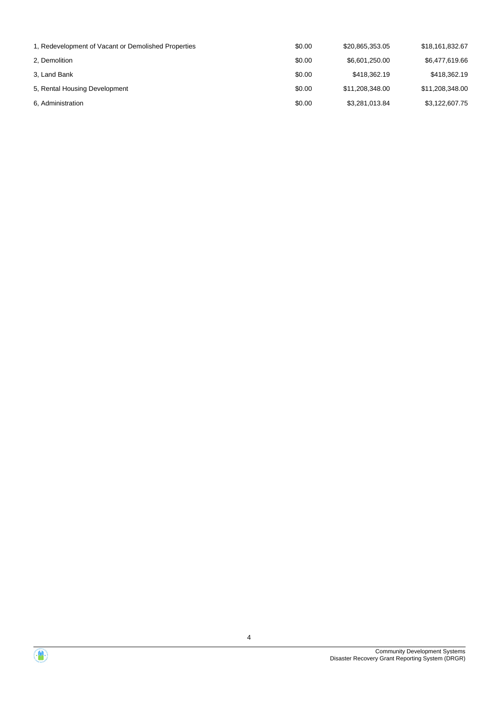| 1, Redevelopment of Vacant or Demolished Properties | \$0.00 | \$20,865,353.05 | \$18,161,832.67 |
|-----------------------------------------------------|--------|-----------------|-----------------|
| 2, Demolition                                       | \$0.00 | \$6,601,250.00  | \$6,477,619.66  |
| 3, Land Bank                                        | \$0.00 | \$418,362.19    | \$418,362.19    |
| 5, Rental Housing Development                       | \$0.00 | \$11,208,348.00 | \$11,208,348.00 |
| 6, Administration                                   | \$0.00 | \$3,281,013.84  | \$3,122,607.75  |

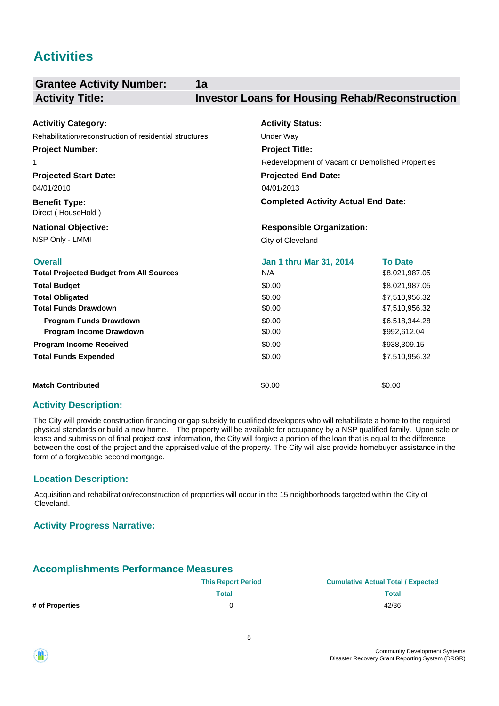# **Activities**

| <b>Grantee Activity Number:</b>                                                                                                                                                                                                                                               | 1a                                                                                                   |                                                                                                                                                            |
|-------------------------------------------------------------------------------------------------------------------------------------------------------------------------------------------------------------------------------------------------------------------------------|------------------------------------------------------------------------------------------------------|------------------------------------------------------------------------------------------------------------------------------------------------------------|
| <b>Activity Title:</b>                                                                                                                                                                                                                                                        | <b>Investor Loans for Housing Rehab/Reconstruction</b>                                               |                                                                                                                                                            |
| <b>Activitiy Category:</b><br>Rehabilitation/reconstruction of residential structures                                                                                                                                                                                         | <b>Activity Status:</b><br>Under Way                                                                 |                                                                                                                                                            |
| <b>Project Number:</b><br>1                                                                                                                                                                                                                                                   | <b>Project Title:</b><br>Redevelopment of Vacant or Demolished Properties                            |                                                                                                                                                            |
| <b>Projected Start Date:</b><br>04/01/2010<br><b>Benefit Type:</b>                                                                                                                                                                                                            | <b>Projected End Date:</b><br>04/01/2013<br><b>Completed Activity Actual End Date:</b>               |                                                                                                                                                            |
| Direct (HouseHold)<br><b>National Objective:</b><br>NSP Only - LMMI                                                                                                                                                                                                           | <b>Responsible Organization:</b><br>City of Cleveland                                                |                                                                                                                                                            |
| <b>Overall</b><br><b>Total Projected Budget from All Sources</b><br><b>Total Budget</b><br><b>Total Obligated</b><br><b>Total Funds Drawdown</b><br><b>Program Funds Drawdown</b><br>Program Income Drawdown<br><b>Program Income Received</b><br><b>Total Funds Expended</b> | Jan 1 thru Mar 31, 2014<br>N/A<br>\$0.00<br>\$0.00<br>\$0.00<br>\$0.00<br>\$0.00<br>\$0.00<br>\$0.00 | <b>To Date</b><br>\$8,021,987.05<br>\$8,021,987.05<br>\$7,510,956.32<br>\$7,510,956.32<br>\$6,518,344.28<br>\$992,612.04<br>\$938,309.15<br>\$7,510,956.32 |
| <b>Match Contributed</b>                                                                                                                                                                                                                                                      | \$0.00                                                                                               | \$0.00                                                                                                                                                     |

#### **Activity Description:**

The City will provide construction financing or gap subsidy to qualified developers who will rehabilitate a home to the required physical standards or build a new home. The property will be available for occupancy by a NSP qualified family. Upon sale or lease and submission of final project cost information, the City will forgive a portion of the loan that is equal to the difference between the cost of the project and the appraised value of the property. The City will also provide homebuyer assistance in the form of a forgiveable second mortgage.

#### **Location Description:**

Acquisition and rehabilitation/reconstruction of properties will occur in the 15 neighborhoods targeted within the City of Cleveland.

#### **Activity Progress Narrative:**

## **Accomplishments Performance Measures**

|                 | <b>This Report Period</b> | <b>Cumulative Actual Total / Expected</b> |
|-----------------|---------------------------|-------------------------------------------|
|                 | <b>Total</b>              | Total                                     |
| # of Properties |                           | 42/36                                     |

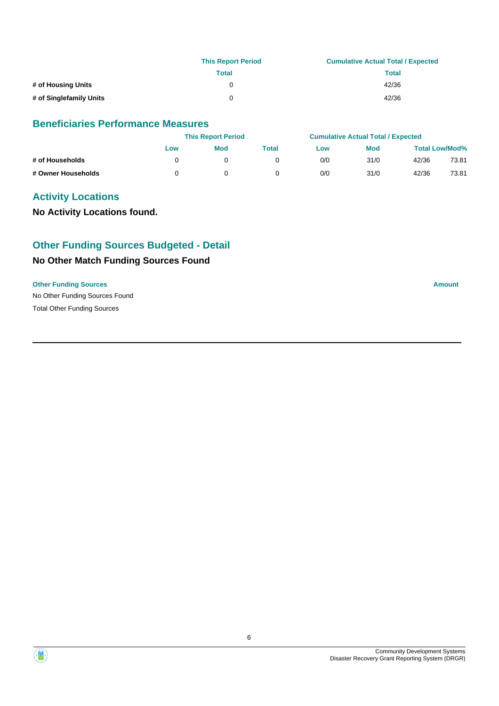|                         | <b>This Report Period</b> | <b>Cumulative Actual Total / Expected</b> |
|-------------------------|---------------------------|-------------------------------------------|
|                         | Total                     | Total                                     |
| # of Housing Units      |                           | 42/36                                     |
| # of Singlefamily Units | 0                         | 42/36                                     |

#### **Beneficiaries Performance Measures**

|                    | <b>This Report Period</b> |            | <b>Cumulative Actual Total / Expected</b> |     |            |       |                       |
|--------------------|---------------------------|------------|-------------------------------------------|-----|------------|-------|-----------------------|
|                    | Low                       | <b>Mod</b> | Total                                     | Low | <b>Mod</b> |       | <b>Total Low/Mod%</b> |
| # of Households    |                           |            |                                           | 0/0 | 31/0       | 42/36 | 73.81                 |
| # Owner Households |                           |            |                                           | 0/0 | 31/0       | 42/36 | 73.81                 |

## **Activity Locations**

**No Activity Locations found.**

# **Other Funding Sources Budgeted - Detail**

### **No Other Match Funding Sources Found**

#### **Other Funding Sources Amount Amount Amount Amount Amount Amount Amount**

No Other Funding Sources Found Total Other Funding Sources



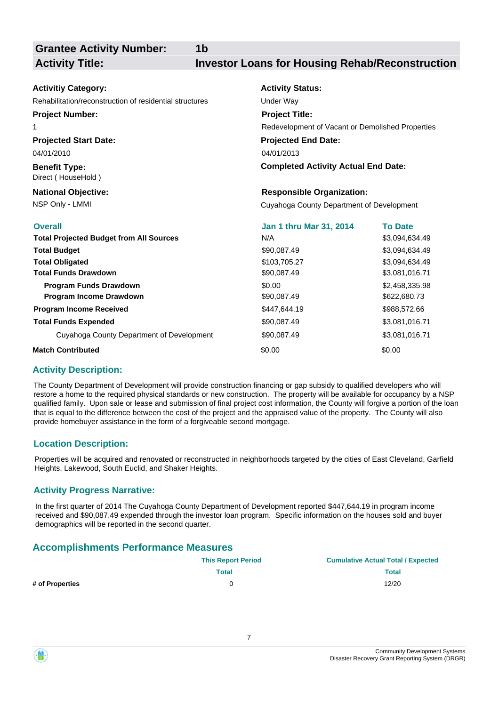**Grantee Activity Number:**

**1b**

## **Activity Title: Investor Loans for Housing Rehab/Reconstruction**

| <b>Activitiy Category:</b>                              | <b>Activity Status:</b>                          |                |
|---------------------------------------------------------|--------------------------------------------------|----------------|
| Rehabilitation/reconstruction of residential structures | Under Way                                        |                |
| <b>Project Number:</b>                                  | <b>Project Title:</b>                            |                |
| 1                                                       | Redevelopment of Vacant or Demolished Properties |                |
| <b>Projected Start Date:</b>                            | <b>Projected End Date:</b>                       |                |
| 04/01/2010                                              | 04/01/2013                                       |                |
| <b>Benefit Type:</b><br>Direct (HouseHold)              | <b>Completed Activity Actual End Date:</b>       |                |
| <b>National Objective:</b>                              | <b>Responsible Organization:</b>                 |                |
| NSP Only - LMMI                                         | Cuyahoga County Department of Development        |                |
| <b>Overall</b>                                          | Jan 1 thru Mar 31, 2014                          | <b>To Date</b> |
| <b>Total Projected Budget from All Sources</b>          | N/A                                              | \$3,094,634.49 |
| <b>Total Budget</b>                                     | \$90,087.49                                      | \$3,094,634.49 |
| <b>Total Obligated</b>                                  | \$103,705.27                                     | \$3,094,634.49 |
| <b>Total Funds Drawdown</b>                             | \$90,087.49                                      | \$3,081,016.71 |
| Program Funds Drawdown                                  | \$0.00                                           | \$2,458,335.98 |
| Program Income Drawdown                                 | \$90,087.49                                      | \$622,680.73   |
| <b>Program Income Received</b>                          | \$447,644.19                                     | \$988,572.66   |
| <b>Total Funds Expended</b>                             | \$90,087.49                                      | \$3,081,016.71 |
| Cuyahoga County Department of Development               | \$90,087.49                                      | \$3,081,016.71 |
| <b>Match Contributed</b>                                | \$0.00                                           | \$0.00         |

#### **Activity Description:**

The County Department of Development will provide construction financing or gap subsidy to qualified developers who will restore a home to the required physical standards or new construction. The property will be available for occupancy by a NSP qualified family. Upon sale or lease and submission of final project cost information, the County will forgive a portion of the loan that is equal to the difference between the cost of the project and the appraised value of the property. The County will also provide homebuyer assistance in the form of a forgiveable second mortgage.

#### **Location Description:**

Properties will be acquired and renovated or reconstructed in neighborhoods targeted by the cities of East Cleveland, Garfield Heights, Lakewood, South Euclid, and Shaker Heights.

#### **Activity Progress Narrative:**

In the first quarter of 2014 The Cuyahoga County Department of Development reported \$447,644.19 in program income received and \$90,087.49 expended through the investor loan program. Specific information on the houses sold and buyer demographics will be reported in the second quarter.

## **Accomplishments Performance Measures**

|                 | <b>This Report Period</b> | <b>Cumulative Actual Total / Expected</b> |
|-----------------|---------------------------|-------------------------------------------|
|                 | Total                     | <b>Total</b>                              |
| # of Properties |                           | 12/20                                     |

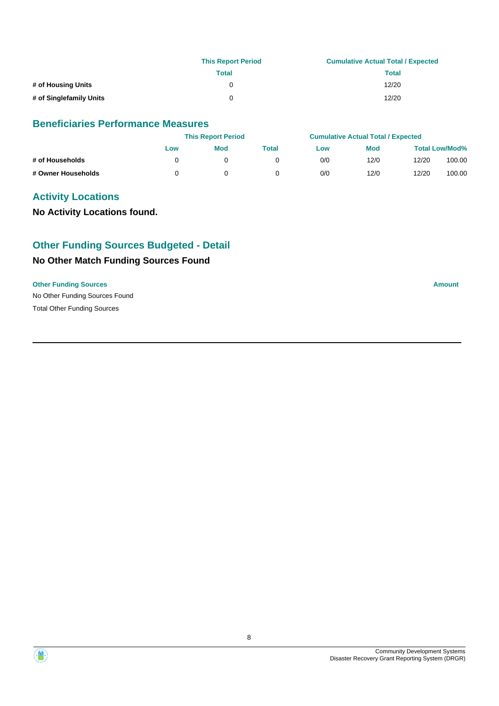|                         | <b>This Report Period</b> | <b>Cumulative Actual Total / Expected</b> |  |  |
|-------------------------|---------------------------|-------------------------------------------|--|--|
|                         | Total                     | Total                                     |  |  |
| # of Housing Units      | 0                         | 12/20                                     |  |  |
| # of Singlefamily Units | <sup>n</sup>              | 12/20                                     |  |  |

#### **Beneficiaries Performance Measures**

|                    |     | <b>This Report Period</b> |       |     | <b>Cumulative Actual Total / Expected</b> |                       |        |
|--------------------|-----|---------------------------|-------|-----|-------------------------------------------|-----------------------|--------|
|                    | Low | <b>Mod</b>                | Total | Low | <b>Mod</b>                                | <b>Total Low/Mod%</b> |        |
| # of Households    |     |                           |       | 0/0 | 12/0                                      | 12/20                 | 100.00 |
| # Owner Households |     |                           |       | 0/0 | 12/0                                      | 12/20                 | 100.00 |

## **Activity Locations**

**No Activity Locations found.**

# **Other Funding Sources Budgeted - Detail**

### **No Other Match Funding Sources Found**

#### **Other Funding Sources Amount Amount Amount Amount Amount Amount Amount**

No Other Funding Sources Found Total Other Funding Sources



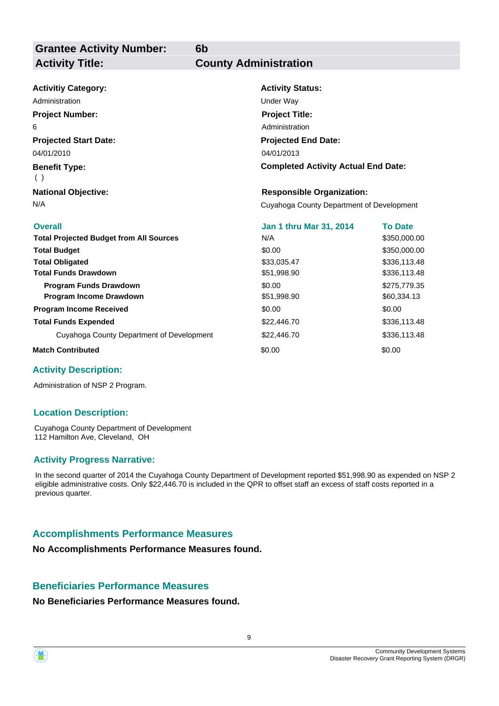**6b**

| <b>Activitiy Category:</b>                     | <b>Activity Status:</b>                    |                |  |
|------------------------------------------------|--------------------------------------------|----------------|--|
| Administration                                 | Under Way                                  |                |  |
| <b>Project Number:</b>                         | <b>Project Title:</b>                      |                |  |
| 6                                              | Administration                             |                |  |
| <b>Projected Start Date:</b>                   | <b>Projected End Date:</b>                 |                |  |
| 04/01/2010                                     | 04/01/2013                                 |                |  |
| <b>Benefit Type:</b><br>( )                    | <b>Completed Activity Actual End Date:</b> |                |  |
| <b>National Objective:</b>                     | <b>Responsible Organization:</b>           |                |  |
| N/A                                            | Cuyahoga County Department of Development  |                |  |
|                                                |                                            |                |  |
| <b>Overall</b>                                 | Jan 1 thru Mar 31, 2014                    | <b>To Date</b> |  |
| <b>Total Projected Budget from All Sources</b> | N/A                                        | \$350,000.00   |  |
| <b>Total Budget</b>                            | \$0.00                                     | \$350,000.00   |  |
| <b>Total Obligated</b>                         | \$33,035.47                                | \$336,113.48   |  |
| <b>Total Funds Drawdown</b>                    | \$51,998.90                                | \$336,113.48   |  |
| <b>Program Funds Drawdown</b>                  | \$0.00                                     | \$275,779.35   |  |
| Program Income Drawdown                        | \$51,998.90                                | \$60,334.13    |  |
| <b>Program Income Received</b>                 | \$0.00                                     | \$0.00         |  |
| <b>Total Funds Expended</b>                    | \$22,446.70                                | \$336,113.48   |  |
| Cuyahoga County Department of Development      | \$22,446.70                                | \$336,113.48   |  |

#### **Activity Description:**

Administration of NSP 2 Program.

#### **Location Description:**

Cuyahoga County Department of Development 112 Hamilton Ave, Cleveland, OH

#### **Activity Progress Narrative:**

In the second quarter of 2014 the Cuyahoga County Department of Development reported \$51,998.90 as expended on NSP 2 eligible administrative costs. Only \$22,446.70 is included in the QPR to offset staff an excess of staff costs reported in a previous quarter.

## **Accomplishments Performance Measures**

**No Accomplishments Performance Measures found.**

#### **Beneficiaries Performance Measures**

**No Beneficiaries Performance Measures found.**